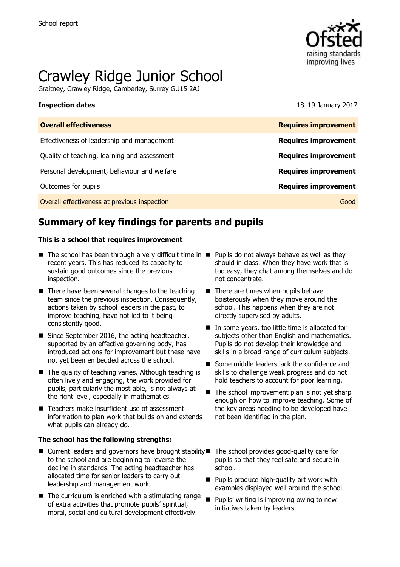

# Crawley Ridge Junior School

Graitney, Crawley Ridge, Camberley, Surrey GU15 2AJ

**Inspection dates** 18–19 January 2017

| <b>Requires improvement</b> |
|-----------------------------|
| <b>Requires improvement</b> |
| <b>Requires improvement</b> |
| <b>Requires improvement</b> |
| <b>Requires improvement</b> |
| Good                        |
|                             |

# **Summary of key findings for parents and pupils**

### **This is a school that requires improvement**

- $\blacksquare$  The school has been through a very difficult time in  $\blacksquare$  Pupils do not always behave as well as they recent years. This has reduced its capacity to sustain good outcomes since the previous inspection.
- $\blacksquare$  There have been several changes to the teaching team since the previous inspection. Consequently, actions taken by school leaders in the past, to improve teaching, have not led to it being consistently good.
- Since September 2016, the acting headteacher, supported by an effective governing body, has introduced actions for improvement but these have not yet been embedded across the school.
- The quality of teaching varies. Although teaching is often lively and engaging, the work provided for pupils, particularly the most able, is not always at the right level, especially in mathematics.
- Teachers make insufficient use of assessment information to plan work that builds on and extends what pupils can already do.

### **The school has the following strengths:**

- $\blacksquare$  Current leaders and governors have brought stability  $\blacksquare$  The school provides good-quality care for to the school and are beginning to reverse the decline in standards. The acting headteacher has allocated time for senior leaders to carry out leadership and management work.
- $\blacksquare$  The curriculum is enriched with a stimulating range of extra activities that promote pupils' spiritual, moral, social and cultural development effectively.
- should in class. When they have work that is too easy, they chat among themselves and do not concentrate.
- $\blacksquare$  There are times when pupils behave boisterously when they move around the school. This happens when they are not directly supervised by adults.
- In some years, too little time is allocated for subjects other than English and mathematics. Pupils do not develop their knowledge and skills in a broad range of curriculum subjects.
- Some middle leaders lack the confidence and skills to challenge weak progress and do not hold teachers to account for poor learning.
- $\blacksquare$  The school improvement plan is not yet sharp enough on how to improve teaching. Some of the key areas needing to be developed have not been identified in the plan.
	- pupils so that they feel safe and secure in school.
- **Pupils produce high-quality art work with** examples displayed well around the school.
- Pupils' writing is improving owing to new initiatives taken by leaders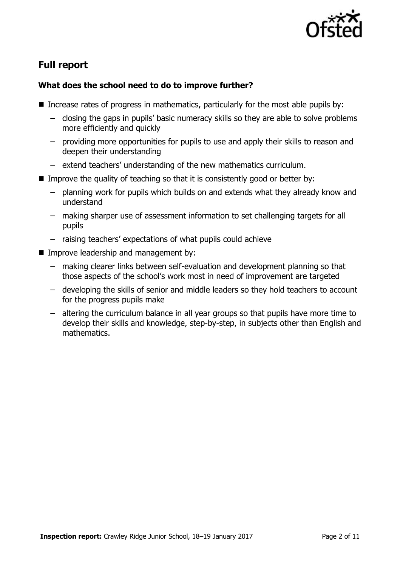

# **Full report**

### **What does the school need to do to improve further?**

- Increase rates of progress in mathematics, particularly for the most able pupils by:
	- closing the gaps in pupils' basic numeracy skills so they are able to solve problems more efficiently and quickly
	- providing more opportunities for pupils to use and apply their skills to reason and deepen their understanding
	- extend teachers' understanding of the new mathematics curriculum.
- Improve the quality of teaching so that it is consistently good or better by:
	- planning work for pupils which builds on and extends what they already know and understand
	- making sharper use of assessment information to set challenging targets for all pupils
	- raising teachers' expectations of what pupils could achieve
- **Improve leadership and management by:** 
	- making clearer links between self-evaluation and development planning so that those aspects of the school's work most in need of improvement are targeted
	- developing the skills of senior and middle leaders so they hold teachers to account for the progress pupils make
	- altering the curriculum balance in all year groups so that pupils have more time to develop their skills and knowledge, step-by-step, in subjects other than English and mathematics.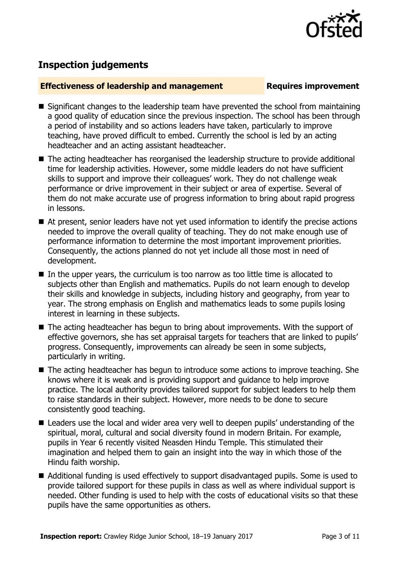

# **Inspection judgements**

### **Effectiveness of leadership and management Requires improvement**

- $\blacksquare$  Significant changes to the leadership team have prevented the school from maintaining a good quality of education since the previous inspection. The school has been through a period of instability and so actions leaders have taken, particularly to improve teaching, have proved difficult to embed. Currently the school is led by an acting headteacher and an acting assistant headteacher.
- The acting headteacher has reorganised the leadership structure to provide additional time for leadership activities. However, some middle leaders do not have sufficient skills to support and improve their colleagues' work. They do not challenge weak performance or drive improvement in their subject or area of expertise. Several of them do not make accurate use of progress information to bring about rapid progress in lessons.
- At present, senior leaders have not yet used information to identify the precise actions needed to improve the overall quality of teaching. They do not make enough use of performance information to determine the most important improvement priorities. Consequently, the actions planned do not yet include all those most in need of development.
- In the upper years, the curriculum is too narrow as too little time is allocated to subjects other than English and mathematics. Pupils do not learn enough to develop their skills and knowledge in subjects, including history and geography, from year to year. The strong emphasis on English and mathematics leads to some pupils losing interest in learning in these subjects.
- The acting headteacher has begun to bring about improvements. With the support of effective governors, she has set appraisal targets for teachers that are linked to pupils' progress. Consequently, improvements can already be seen in some subjects, particularly in writing.
- The acting headteacher has begun to introduce some actions to improve teaching. She knows where it is weak and is providing support and guidance to help improve practice. The local authority provides tailored support for subject leaders to help them to raise standards in their subject. However, more needs to be done to secure consistently good teaching.
- Leaders use the local and wider area very well to deepen pupils' understanding of the spiritual, moral, cultural and social diversity found in modern Britain. For example, pupils in Year 6 recently visited Neasden Hindu Temple. This stimulated their imagination and helped them to gain an insight into the way in which those of the Hindu faith worship.
- Additional funding is used effectively to support disadvantaged pupils. Some is used to provide tailored support for these pupils in class as well as where individual support is needed. Other funding is used to help with the costs of educational visits so that these pupils have the same opportunities as others.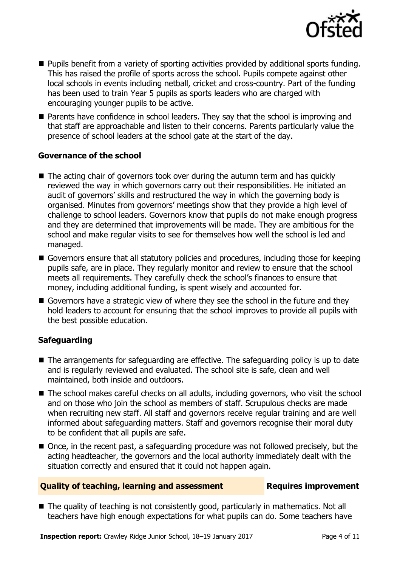

- **Pupils benefit from a variety of sporting activities provided by additional sports funding.** This has raised the profile of sports across the school. Pupils compete against other local schools in events including netball, cricket and cross-country. Part of the funding has been used to train Year 5 pupils as sports leaders who are charged with encouraging younger pupils to be active.
- **Parents have confidence in school leaders. They say that the school is improving and** that staff are approachable and listen to their concerns. Parents particularly value the presence of school leaders at the school gate at the start of the day.

### **Governance of the school**

- The acting chair of governors took over during the autumn term and has quickly reviewed the way in which governors carry out their responsibilities. He initiated an audit of governors' skills and restructured the way in which the governing body is organised. Minutes from governors' meetings show that they provide a high level of challenge to school leaders. Governors know that pupils do not make enough progress and they are determined that improvements will be made. They are ambitious for the school and make regular visits to see for themselves how well the school is led and managed.
- Governors ensure that all statutory policies and procedures, including those for keeping pupils safe, are in place. They regularly monitor and review to ensure that the school meets all requirements. They carefully check the school's finances to ensure that money, including additional funding, is spent wisely and accounted for.
- Governors have a strategic view of where they see the school in the future and they hold leaders to account for ensuring that the school improves to provide all pupils with the best possible education.

### **Safeguarding**

- The arrangements for safeguarding are effective. The safeguarding policy is up to date and is regularly reviewed and evaluated. The school site is safe, clean and well maintained, both inside and outdoors.
- The school makes careful checks on all adults, including governors, who visit the school and on those who join the school as members of staff. Scrupulous checks are made when recruiting new staff. All staff and governors receive regular training and are well informed about safeguarding matters. Staff and governors recognise their moral duty to be confident that all pupils are safe.
- Once, in the recent past, a safeguarding procedure was not followed precisely, but the acting headteacher, the governors and the local authority immediately dealt with the situation correctly and ensured that it could not happen again.

### **Quality of teaching, learning and assessment Requires improvement**

■ The quality of teaching is not consistently good, particularly in mathematics. Not all teachers have high enough expectations for what pupils can do. Some teachers have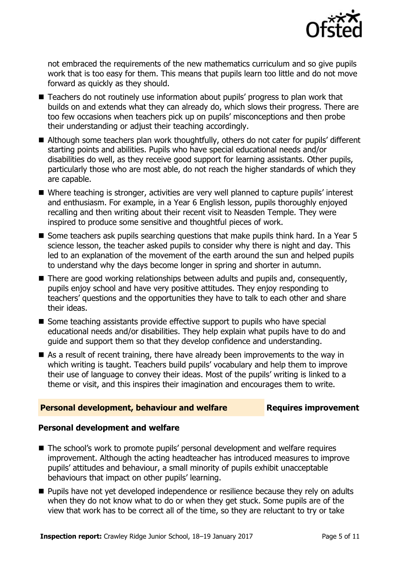

not embraced the requirements of the new mathematics curriculum and so give pupils work that is too easy for them. This means that pupils learn too little and do not move forward as quickly as they should.

- Teachers do not routinely use information about pupils' progress to plan work that builds on and extends what they can already do, which slows their progress. There are too few occasions when teachers pick up on pupils' misconceptions and then probe their understanding or adjust their teaching accordingly.
- Although some teachers plan work thoughtfully, others do not cater for pupils' different starting points and abilities. Pupils who have special educational needs and/or disabilities do well, as they receive good support for learning assistants. Other pupils, particularly those who are most able, do not reach the higher standards of which they are capable.
- Where teaching is stronger, activities are very well planned to capture pupils' interest and enthusiasm. For example, in a Year 6 English lesson, pupils thoroughly enjoyed recalling and then writing about their recent visit to Neasden Temple. They were inspired to produce some sensitive and thoughtful pieces of work.
- Some teachers ask pupils searching questions that make pupils think hard. In a Year 5 science lesson, the teacher asked pupils to consider why there is night and day. This led to an explanation of the movement of the earth around the sun and helped pupils to understand why the days become longer in spring and shorter in autumn.
- There are good working relationships between adults and pupils and, consequently, pupils enjoy school and have very positive attitudes. They enjoy responding to teachers' questions and the opportunities they have to talk to each other and share their ideas.
- Some teaching assistants provide effective support to pupils who have special educational needs and/or disabilities. They help explain what pupils have to do and guide and support them so that they develop confidence and understanding.
- As a result of recent training, there have already been improvements to the way in which writing is taught. Teachers build pupils' vocabulary and help them to improve their use of language to convey their ideas. Most of the pupils' writing is linked to a theme or visit, and this inspires their imagination and encourages them to write.

### **Personal development, behaviour and welfare Fig. 2.1 Requires improvement**

### **Personal development and welfare**

- The school's work to promote pupils' personal development and welfare requires improvement. Although the acting headteacher has introduced measures to improve pupils' attitudes and behaviour, a small minority of pupils exhibit unacceptable behaviours that impact on other pupils' learning.
- **Pupils have not yet developed independence or resilience because they rely on adults** when they do not know what to do or when they get stuck. Some pupils are of the view that work has to be correct all of the time, so they are reluctant to try or take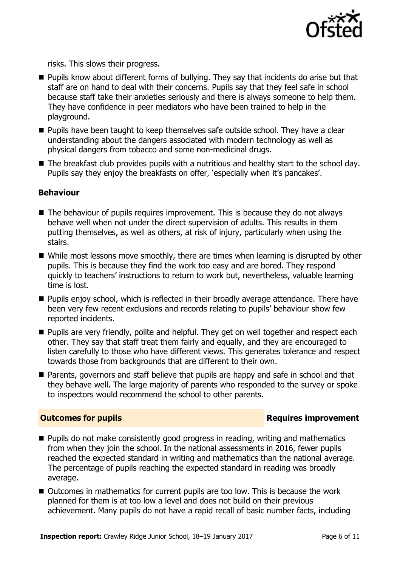

risks. This slows their progress.

- **Pupils know about different forms of bullying. They say that incidents do arise but that** staff are on hand to deal with their concerns. Pupils say that they feel safe in school because staff take their anxieties seriously and there is always someone to help them. They have confidence in peer mediators who have been trained to help in the playground.
- $\blacksquare$  Pupils have been taught to keep themselves safe outside school. They have a clear understanding about the dangers associated with modern technology as well as physical dangers from tobacco and some non-medicinal drugs.
- The breakfast club provides pupils with a nutritious and healthy start to the school day. Pupils say they enjoy the breakfasts on offer, 'especially when it's pancakes'.

### **Behaviour**

- $\blacksquare$  The behaviour of pupils requires improvement. This is because they do not always behave well when not under the direct supervision of adults. This results in them putting themselves, as well as others, at risk of injury, particularly when using the stairs.
- While most lessons move smoothly, there are times when learning is disrupted by other pupils. This is because they find the work too easy and are bored. They respond quickly to teachers' instructions to return to work but, nevertheless, valuable learning time is lost.
- **Pupils enjoy school, which is reflected in their broadly average attendance. There have** been very few recent exclusions and records relating to pupils' behaviour show few reported incidents.
- **Pupils are very friendly, polite and helpful. They get on well together and respect each** other. They say that staff treat them fairly and equally, and they are encouraged to listen carefully to those who have different views. This generates tolerance and respect towards those from backgrounds that are different to their own.
- **Parents, governors and staff believe that pupils are happy and safe in school and that** they behave well. The large majority of parents who responded to the survey or spoke to inspectors would recommend the school to other parents.

### **Outcomes for pupils Requires improvement**

- **Pupils do not make consistently good progress in reading, writing and mathematics** from when they join the school. In the national assessments in 2016, fewer pupils reached the expected standard in writing and mathematics than the national average. The percentage of pupils reaching the expected standard in reading was broadly average.
- Outcomes in mathematics for current pupils are too low. This is because the work planned for them is at too low a level and does not build on their previous achievement. Many pupils do not have a rapid recall of basic number facts, including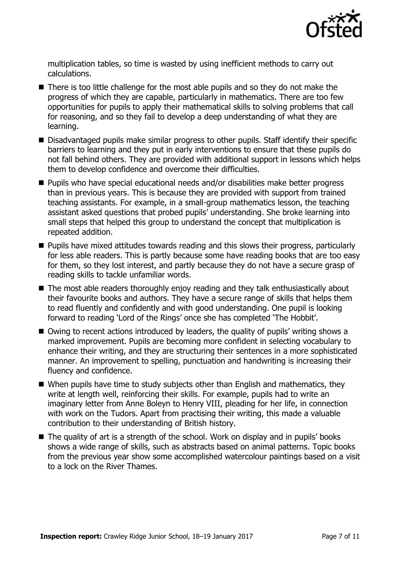

multiplication tables, so time is wasted by using inefficient methods to carry out calculations.

- There is too little challenge for the most able pupils and so they do not make the progress of which they are capable, particularly in mathematics. There are too few opportunities for pupils to apply their mathematical skills to solving problems that call for reasoning, and so they fail to develop a deep understanding of what they are learning.
- Disadvantaged pupils make similar progress to other pupils. Staff identify their specific barriers to learning and they put in early interventions to ensure that these pupils do not fall behind others. They are provided with additional support in lessons which helps them to develop confidence and overcome their difficulties.
- Pupils who have special educational needs and/or disabilities make better progress than in previous years. This is because they are provided with support from trained teaching assistants. For example, in a small-group mathematics lesson, the teaching assistant asked questions that probed pupils' understanding. She broke learning into small steps that helped this group to understand the concept that multiplication is repeated addition.
- **Pupils have mixed attitudes towards reading and this slows their progress, particularly** for less able readers. This is partly because some have reading books that are too easy for them, so they lost interest, and partly because they do not have a secure grasp of reading skills to tackle unfamiliar words.
- The most able readers thoroughly enjoy reading and they talk enthusiastically about their favourite books and authors. They have a secure range of skills that helps them to read fluently and confidently and with good understanding. One pupil is looking forward to reading 'Lord of the Rings' once she has completed 'The Hobbit'.
- Owing to recent actions introduced by leaders, the quality of pupils' writing shows a marked improvement. Pupils are becoming more confident in selecting vocabulary to enhance their writing, and they are structuring their sentences in a more sophisticated manner. An improvement to spelling, punctuation and handwriting is increasing their fluency and confidence.
- When pupils have time to study subjects other than English and mathematics, they write at length well, reinforcing their skills. For example, pupils had to write an imaginary letter from Anne Boleyn to Henry VIII, pleading for her life, in connection with work on the Tudors. Apart from practising their writing, this made a valuable contribution to their understanding of British history.
- The quality of art is a strength of the school. Work on display and in pupils' books shows a wide range of skills, such as abstracts based on animal patterns. Topic books from the previous year show some accomplished watercolour paintings based on a visit to a lock on the River Thames.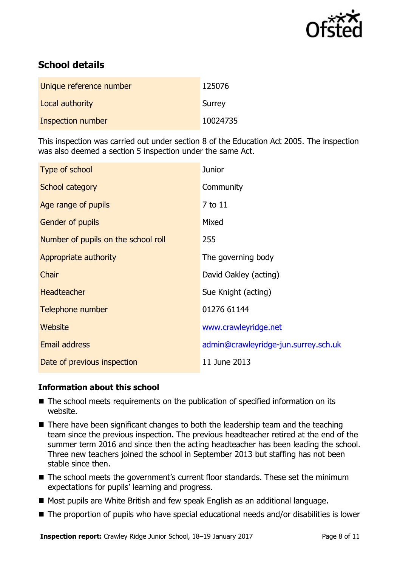

# **School details**

| Unique reference number  | 125076   |
|--------------------------|----------|
| Local authority          | Surrey   |
| <b>Inspection number</b> | 10024735 |

This inspection was carried out under section 8 of the Education Act 2005. The inspection was also deemed a section 5 inspection under the same Act.

| Type of school                      | <b>Junior</b>                        |
|-------------------------------------|--------------------------------------|
| <b>School category</b>              | Community                            |
| Age range of pupils                 | 7 to 11                              |
| Gender of pupils                    | Mixed                                |
| Number of pupils on the school roll | 255                                  |
| Appropriate authority               | The governing body                   |
| Chair                               | David Oakley (acting)                |
| <b>Headteacher</b>                  | Sue Knight (acting)                  |
| Telephone number                    | 01276 61144                          |
| <b>Website</b>                      | www.crawleyridge.net                 |
| <b>Email address</b>                | admin@crawleyridge-jun.surrey.sch.uk |
| Date of previous inspection         | 11 June 2013                         |

### **Information about this school**

- The school meets requirements on the publication of specified information on its website.
- There have been significant changes to both the leadership team and the teaching team since the previous inspection. The previous headteacher retired at the end of the summer term 2016 and since then the acting headteacher has been leading the school. Three new teachers joined the school in September 2013 but staffing has not been stable since then.
- The school meets the government's current floor standards. These set the minimum expectations for pupils' learning and progress.
- Most pupils are White British and few speak English as an additional language.
- The proportion of pupils who have special educational needs and/or disabilities is lower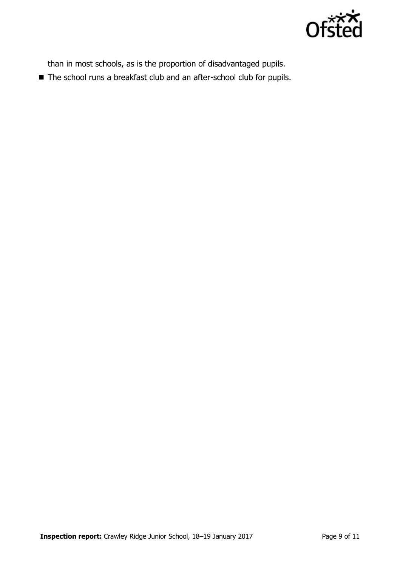

than in most schools, as is the proportion of disadvantaged pupils.

■ The school runs a breakfast club and an after-school club for pupils.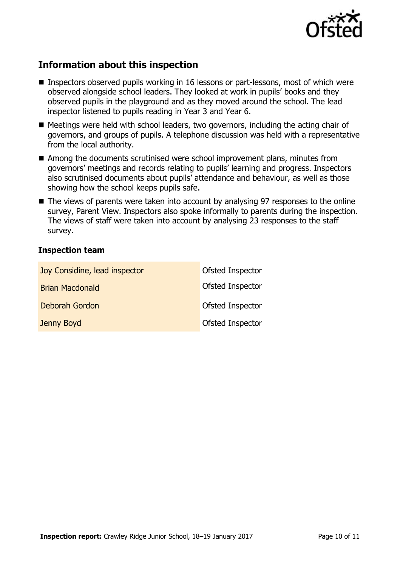

# **Information about this inspection**

- Inspectors observed pupils working in 16 lessons or part-lessons, most of which were observed alongside school leaders. They looked at work in pupils' books and they observed pupils in the playground and as they moved around the school. The lead inspector listened to pupils reading in Year 3 and Year 6.
- Meetings were held with school leaders, two governors, including the acting chair of governors, and groups of pupils. A telephone discussion was held with a representative from the local authority.
- Among the documents scrutinised were school improvement plans, minutes from governors' meetings and records relating to pupils' learning and progress. Inspectors also scrutinised documents about pupils' attendance and behaviour, as well as those showing how the school keeps pupils safe.
- The views of parents were taken into account by analysing 97 responses to the online survey, Parent View. Inspectors also spoke informally to parents during the inspection. The views of staff were taken into account by analysing 23 responses to the staff survey.

### **Inspection team**

| Joy Considine, lead inspector | Ofsted Inspector |
|-------------------------------|------------------|
| <b>Brian Macdonald</b>        | Ofsted Inspector |
| Deborah Gordon                | Ofsted Inspector |
| Jenny Boyd                    | Ofsted Inspector |